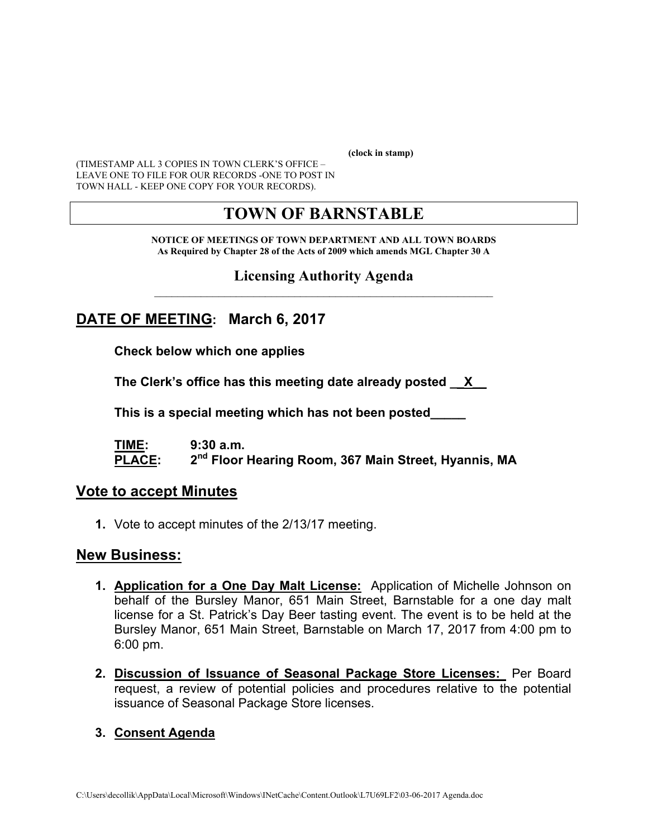**(clock in stamp)** 

(TIMESTAMP ALL 3 COPIES IN TOWN CLERK'S OFFICE – LEAVE ONE TO FILE FOR OUR RECORDS -ONE TO POST IN TOWN HALL - KEEP ONE COPY FOR YOUR RECORDS).

# **TOWN OF BARNSTABLE**

**NOTICE OF MEETINGS OF TOWN DEPARTMENT AND ALL TOWN BOARDS As Required by Chapter 28 of the Acts of 2009 which amends MGL Chapter 30 A** 

#### **Licensing Authority Agenda**  $\mathcal{L}_\text{max}$  and the contract of the contract of the contract of the contract of the contract of the contract of the contract of the contract of the contract of the contract of the contract of the contract of the contrac

## **DATE OF MEETING: March 6, 2017**

**Check below which one applies** 

**The Clerk's office has this meeting date already posted \_\_X\_\_** 

 **This is a special meeting which has not been posted\_\_\_\_\_** 

**TIME: 9:30 a.m. PLACE: 2nd Floor Hearing Room, 367 Main Street, Hyannis, MA**

#### **Vote to accept Minutes**

**1.** Vote to accept minutes of the 2/13/17 meeting.

#### **New Business:**

- **1. Application for a One Day Malt License:** Application of Michelle Johnson on behalf of the Bursley Manor, 651 Main Street, Barnstable for a one day malt license for a St. Patrick's Day Beer tasting event. The event is to be held at the Bursley Manor, 651 Main Street, Barnstable on March 17, 2017 from 4:00 pm to 6:00 pm.
- **2. Discussion of Issuance of Seasonal Package Store Licenses:** Per Board request, a review of potential policies and procedures relative to the potential issuance of Seasonal Package Store licenses.

#### **3. Consent Agenda**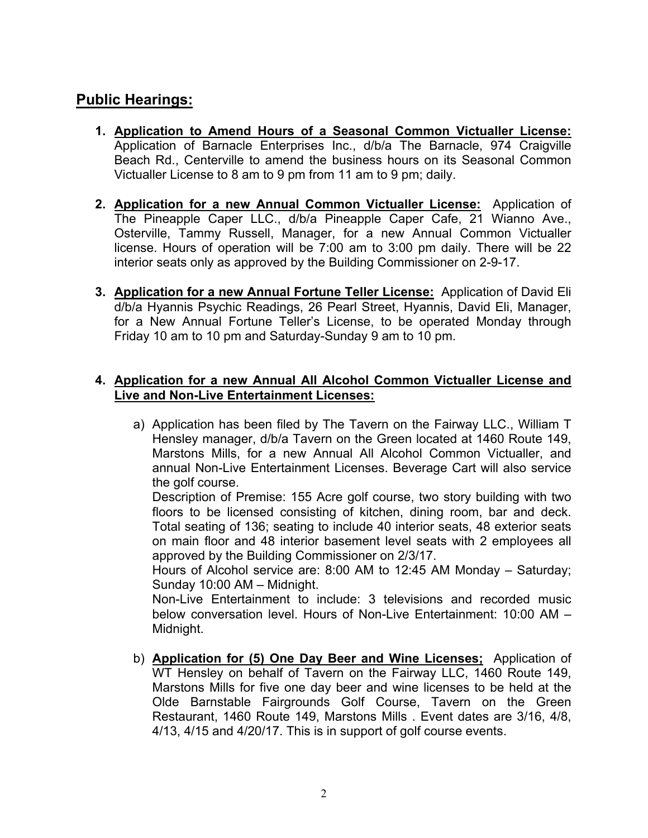## **Public Hearings:**

- **1. Application to Amend Hours of a Seasonal Common Victualler License:** Application of Barnacle Enterprises Inc., d/b/a The Barnacle, 974 Craigville Beach Rd., Centerville to amend the business hours on its Seasonal Common Victualler License to 8 am to 9 pm from 11 am to 9 pm; daily.
- **2. Application for a new Annual Common Victualler License:** Application of The Pineapple Caper LLC., d/b/a Pineapple Caper Cafe, 21 Wianno Ave., Osterville, Tammy Russell, Manager, for a new Annual Common Victualler license. Hours of operation will be 7:00 am to 3:00 pm daily. There will be 22 interior seats only as approved by the Building Commissioner on 2-9-17.
- **3. Application for a new Annual Fortune Teller License:** Application of David Eli d/b/a Hyannis Psychic Readings, 26 Pearl Street, Hyannis, David Eli, Manager, for a New Annual Fortune Teller's License, to be operated Monday through Friday 10 am to 10 pm and Saturday-Sunday 9 am to 10 pm.

#### **4. Application for a new Annual All Alcohol Common Victualler License and Live and Non-Live Entertainment Licenses:**

a) Application has been filed by The Tavern on the Fairway LLC., William T Hensley manager, d/b/a Tavern on the Green located at 1460 Route 149, Marstons Mills, for a new Annual All Alcohol Common Victualler, and annual Non-Live Entertainment Licenses. Beverage Cart will also service the golf course.

Description of Premise: 155 Acre golf course, two story building with two floors to be licensed consisting of kitchen, dining room, bar and deck. Total seating of 136; seating to include 40 interior seats, 48 exterior seats on main floor and 48 interior basement level seats with 2 employees all approved by the Building Commissioner on 2/3/17.

Hours of Alcohol service are: 8:00 AM to 12:45 AM Monday – Saturday; Sunday 10:00 AM – Midnight.

Non-Live Entertainment to include: 3 televisions and recorded music below conversation level. Hours of Non-Live Entertainment: 10:00 AM – Midnight.

b) **Application for (5) One Day Beer and Wine Licenses;** Application of WT Hensley on behalf of Tavern on the Fairway LLC, 1460 Route 149, Marstons Mills for five one day beer and wine licenses to be held at the Olde Barnstable Fairgrounds Golf Course, Tavern on the Green Restaurant, 1460 Route 149, Marstons Mills . Event dates are 3/16, 4/8, 4/13, 4/15 and 4/20/17. This is in support of golf course events.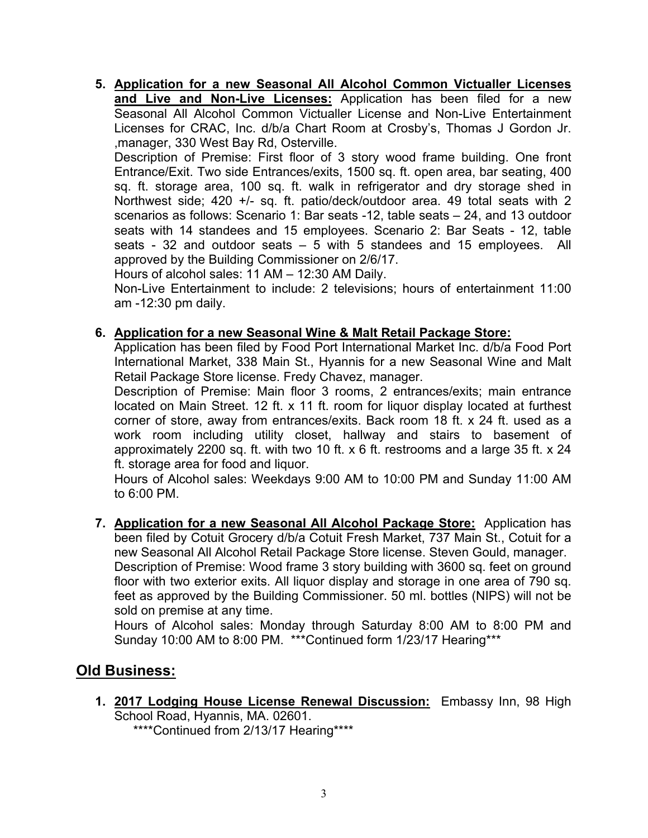**5. Application for a new Seasonal All Alcohol Common Victualler Licenses and Live and Non-Live Licenses:** Application has been filed for a new Seasonal All Alcohol Common Victualler License and Non-Live Entertainment Licenses for CRAC, Inc. d/b/a Chart Room at Crosby's, Thomas J Gordon Jr. ,manager, 330 West Bay Rd, Osterville.

Description of Premise: First floor of 3 story wood frame building. One front Entrance/Exit. Two side Entrances/exits, 1500 sq. ft. open area, bar seating, 400 sq. ft. storage area, 100 sq. ft. walk in refrigerator and dry storage shed in Northwest side; 420 +/- sq. ft. patio/deck/outdoor area. 49 total seats with 2 scenarios as follows: Scenario 1: Bar seats -12, table seats – 24, and 13 outdoor seats with 14 standees and 15 employees. Scenario 2: Bar Seats - 12, table seats - 32 and outdoor seats – 5 with 5 standees and 15 employees. All approved by the Building Commissioner on 2/6/17.

Hours of alcohol sales: 11 AM – 12:30 AM Daily.

Non-Live Entertainment to include: 2 televisions; hours of entertainment 11:00 am -12:30 pm daily.

#### **6. Application for a new Seasonal Wine & Malt Retail Package Store:**

Application has been filed by Food Port International Market Inc. d/b/a Food Port International Market, 338 Main St., Hyannis for a new Seasonal Wine and Malt Retail Package Store license. Fredy Chavez, manager.

Description of Premise: Main floor 3 rooms, 2 entrances/exits; main entrance located on Main Street. 12 ft. x 11 ft. room for liquor display located at furthest corner of store, away from entrances/exits. Back room 18 ft. x 24 ft. used as a work room including utility closet, hallway and stairs to basement of approximately 2200 sq. ft. with two 10 ft. x 6 ft. restrooms and a large 35 ft. x 24 ft. storage area for food and liquor.

Hours of Alcohol sales: Weekdays 9:00 AM to 10:00 PM and Sunday 11:00 AM to 6:00 PM.

**7. Application for a new Seasonal All Alcohol Package Store:** Application has been filed by Cotuit Grocery d/b/a Cotuit Fresh Market, 737 Main St., Cotuit for a new Seasonal All Alcohol Retail Package Store license. Steven Gould, manager. Description of Premise: Wood frame 3 story building with 3600 sq. feet on ground floor with two exterior exits. All liquor display and storage in one area of 790 sq. feet as approved by the Building Commissioner. 50 ml. bottles (NIPS) will not be sold on premise at any time.

Hours of Alcohol sales: Monday through Saturday 8:00 AM to 8:00 PM and Sunday 10:00 AM to 8:00 PM. \*\*\*Continued form 1/23/17 Hearing\*\*\*

## **Old Business:**

**1. 2017 Lodging House License Renewal Discussion:** Embassy Inn, 98 High School Road, Hyannis, MA. 02601.

\*\*\*\*Continued from 2/13/17 Hearing\*\*\*\*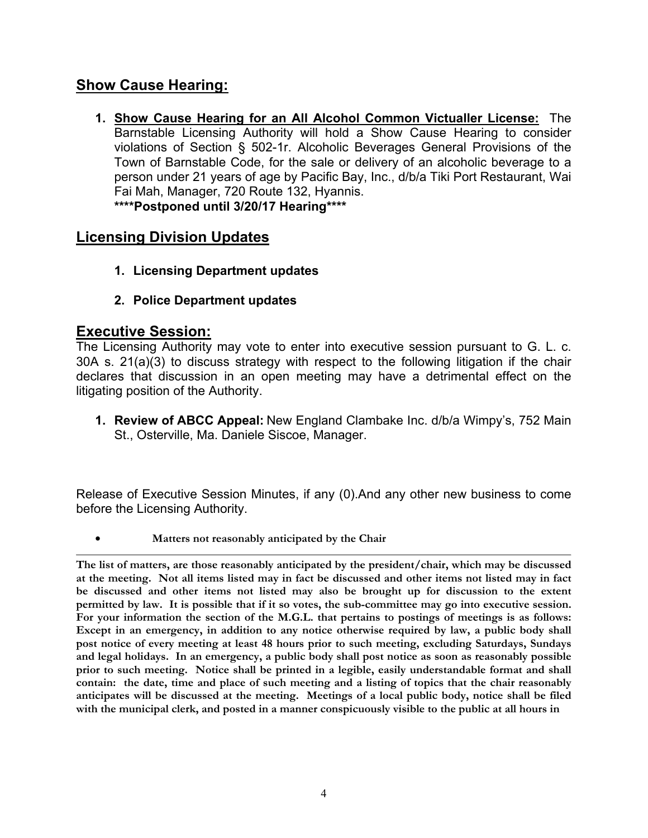## **Show Cause Hearing:**

**1. Show Cause Hearing for an All Alcohol Common Victualler License:** The Barnstable Licensing Authority will hold a Show Cause Hearing to consider violations of Section § 502-1r. Alcoholic Beverages General Provisions of the Town of Barnstable Code, for the sale or delivery of an alcoholic beverage to a person under 21 years of age by Pacific Bay, Inc., d/b/a Tiki Port Restaurant, Wai Fai Mah, Manager, 720 Route 132, Hyannis. **\*\*\*\*Postponed until 3/20/17 Hearing\*\*\*\***

## **Licensing Division Updates**

- **1. Licensing Department updates**
- **2. Police Department updates**

### **Executive Session:**

The Licensing Authority may vote to enter into executive session pursuant to G. L. c. 30A s. 21(a)(3) to discuss strategy with respect to the following litigation if the chair declares that discussion in an open meeting may have a detrimental effect on the litigating position of the Authority.

**1. Review of ABCC Appeal:** New England Clambake Inc. d/b/a Wimpy's, 752 Main St., Osterville, Ma. Daniele Siscoe, Manager.

Release of Executive Session Minutes, if any (0).And any other new business to come before the Licensing Authority.

• **Matters not reasonably anticipated by the Chair**

**The list of matters, are those reasonably anticipated by the president/chair, which may be discussed at the meeting. Not all items listed may in fact be discussed and other items not listed may in fact be discussed and other items not listed may also be brought up for discussion to the extent permitted by law. It is possible that if it so votes, the sub-committee may go into executive session. For your information the section of the M.G.L. that pertains to postings of meetings is as follows: Except in an emergency, in addition to any notice otherwise required by law, a public body shall post notice of every meeting at least 48 hours prior to such meeting, excluding Saturdays, Sundays and legal holidays. In an emergency, a public body shall post notice as soon as reasonably possible prior to such meeting. Notice shall be printed in a legible, easily understandable format and shall contain: the date, time and place of such meeting and a listing of topics that the chair reasonably anticipates will be discussed at the meeting. Meetings of a local public body, notice shall be filed with the municipal clerk, and posted in a manner conspicuously visible to the public at all hours in**